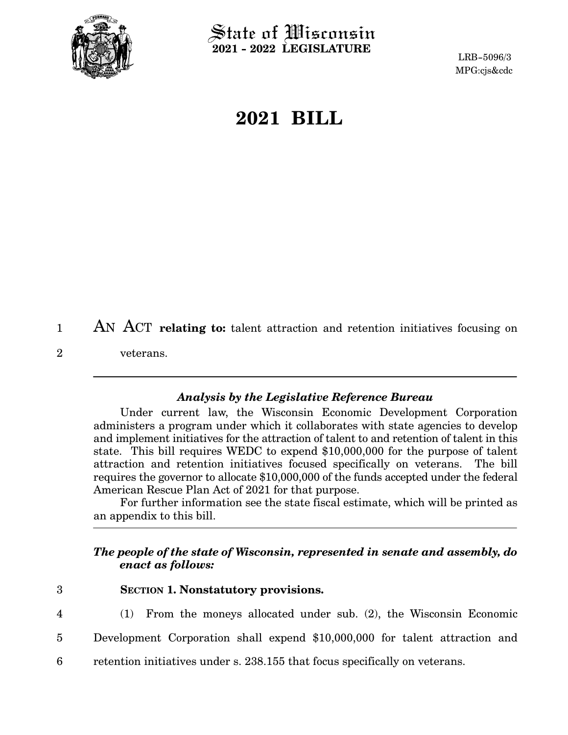<span id="page-0-0"></span>

 $\operatorname{\mathsf{State}}$  of Wisconsin **2021 - 2022 LEGISLATURE**

LRB-5096/3 MPG:cjs&cdc

## **2021 BILL**

AN ACT **relating to:** talent attraction and retention initiatives focusing on veterans. 1 2

## *Analysis by the Legislative Reference Bureau*

Under current law, the Wisconsin Economic Development Corporation administers a program under which it collaborates with state agencies to develop and implement initiatives for the attraction of talent to and retention of talent in this state. This bill requires WEDC to expend \$10,000,000 for the purpose of talent attraction and retention initiatives focused specifically on veterans. The bill requires the governor to allocate \$10,000,000 of the funds accepted under the federal American Rescue Plan Act of 2021 for that purpose.

For further information see the state fiscal estimate, which will be printed as an appendix to this bill.

## *The people of the state of Wisconsin, represented in senate and assembly, do enact as follows:*

- **SECTION 1.**0**Nonstatutory provisions.** 3
- 4

(1) From the moneys allocated under sub. ([2\)](#page-1-0), the Wisconsin Economic

- Development Corporation shall expend \$10,000,000 for talent attraction and 5
- retention initiatives under s. 238.155 that focus specifically on veterans. 6